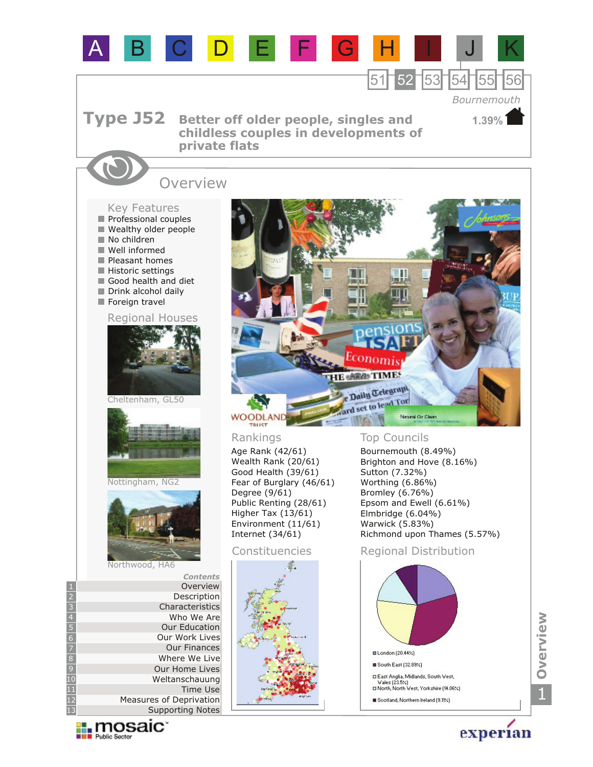

**Expire Sector** 

experian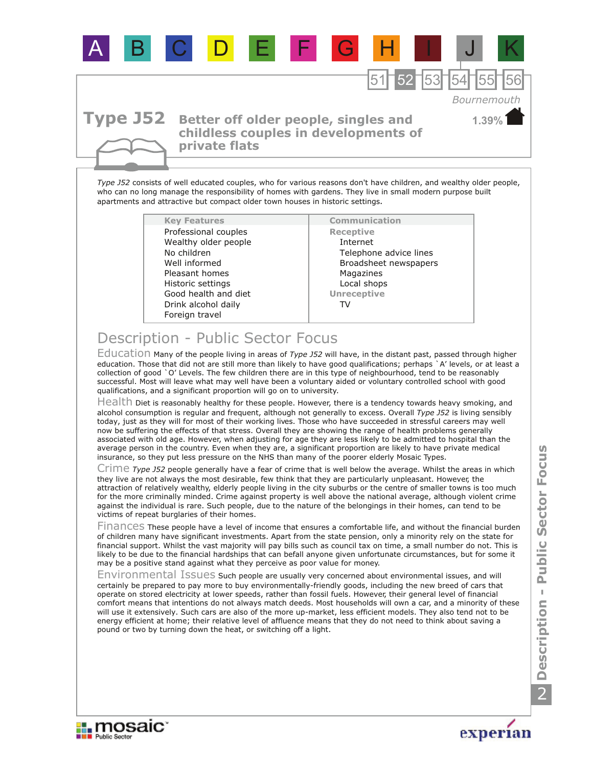

*Type J52* consists of well educated couples, who for various reasons don't have children, and wealthy older people, who can no long manage the responsibility of homes with gardens. They live in small modern purpose built apartments and attractive but compact older town houses in historic settings.

| <b>Key Features</b>  |
|----------------------|
| Professional couples |
| Wealthy older people |
| No children          |
| Well informed        |
| Pleasant homes       |
| Historic settings    |
| Good health and diet |
| Drink alcohol daily  |
| Foreign travel       |

**Communication Receptive** Internet Telephone advice lines Broadsheet newspapers Magazines **Unreceptive** Local shops TV

## Description - Public Sector Focus

Education Many of the people living in areas of *Type J52* will have, in the distant past, passed through higher education. Those that did not are still more than likely to have good qualifications; perhaps `A' levels, or at least a collection of good `O' Levels. The few children there are in this type of neighbourhood, tend to be reasonably successful. Most will leave what may well have been a voluntary aided or voluntary controlled school with good qualifications, and a significant proportion will go on to university.

Health Diet is reasonably healthy for these people. However, there is a tendency towards heavy smoking, and alcohol consumption is regular and frequent, although not generally to excess. Overall *Type J52* is living sensibly today, just as they will for most of their working lives. Those who have succeeded in stressful careers may well now be suffering the effects of that stress. Overall they are showing the range of health problems generally associated with old age. However, when adjusting for age they are less likely to be admitted to hospital than the average person in the country. Even when they are, a significant proportion are likely to have private medical insurance, so they put less pressure on the NHS than many of the poorer elderly Mosaic Types.

Crime Type J52 people generally have a fear of crime that is well below the average. Whilst the areas in which they live are not always the most desirable, few think that they are particularly unpleasant. However, the attraction of relatively wealthy, elderly people living in the city suburbs or the centre of smaller towns is too much for the more criminally minded. Crime against property is well above the national average, although violent crime against the individual is rare. Such people, due to the nature of the belongings in their homes, can tend to be victims of repeat burglaries of their homes.

Finances These people have a level of income that ensures a comfortable life, and without the financial burden of children many have significant investments. Apart from the state pension, only a minority rely on the state for financial support. Whilst the vast majority will pay bills such as council tax on time, a small number do not. This is likely to be due to the financial hardships that can befall anyone given unfortunate circumstances, but for some it may be a positive stand against what they perceive as poor value for money.

Environmental Issues such people are usually very concerned about environmental issues, and will certainly be prepared to pay more to buy environmentally-friendly goods, including the new breed of cars that operate on stored electricity at lower speeds, rather than fossil fuels. However, their general level of financial comfort means that intentions do not always match deeds. Most households will own a car, and a minority of these will use it extensively. Such cars are also of the more up-market, less efficient models. They also tend not to be energy efficient at home; their relative level of affluence means that they do not need to think about saving a pound or two by turning down the heat, or switching off a light.



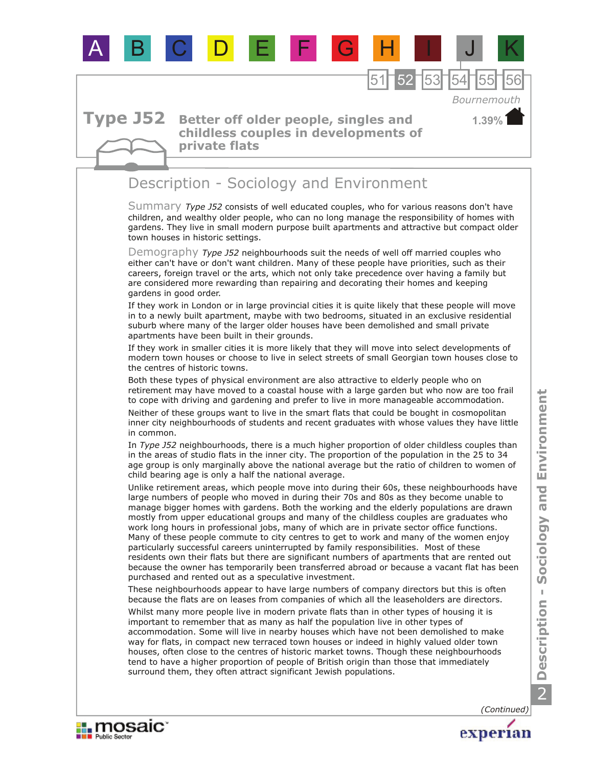

Environment **Description - Sociology and Environment**  $\overline{\bullet}$ nie Description - Sociology 2

**Explorance in The Public Sector** 

experian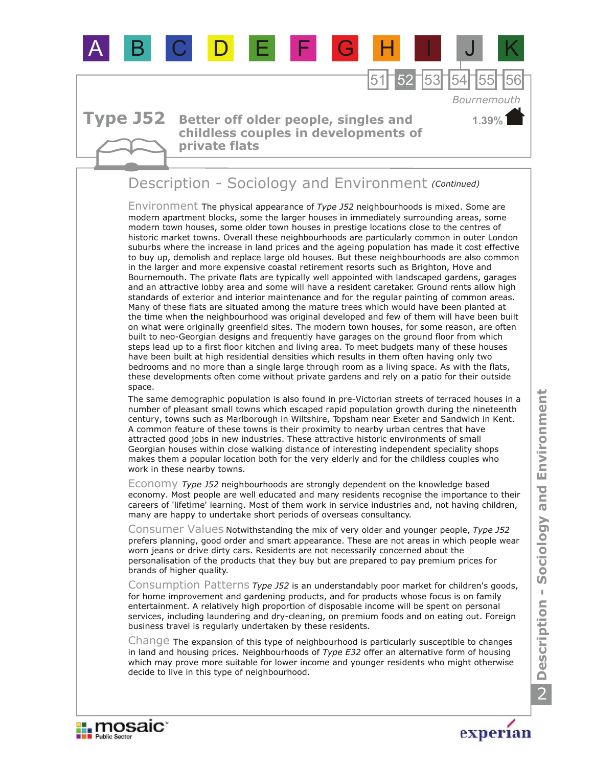

## **Better off older people, singles and childless couples in developments of private flats**

## Description - Sociology and Environment *(Continued)*

Environment The physical appearance of *Type J52* neighbourhoods is mixed. Some are modern apartment blocks, some the larger houses in immediately surrounding areas, some modern town houses, some older town houses in prestige locations close to the centres of historic market towns. Overall these neighbourhoods are particularly common in outer London suburbs where the increase in land prices and the ageing population has made it cost effective to buy up, demolish and replace large old houses. But these neighbourhoods are also common in the larger and more expensive coastal retirement resorts such as Brighton, Hove and Bournemouth. The private flats are typically well appointed with landscaped gardens, garages and an attractive lobby area and some will have a resident caretaker. Ground rents allow high standards of exterior and interior maintenance and for the regular painting of common areas. Many of these flats are situated among the mature trees which would have been planted at the time when the neighbourhood was original developed and few of them will have been built on what were originally greenfield sites. The modern town houses, for some reason, are often built to neo-Georgian designs and frequently have garages on the ground floor from which steps lead up to a first floor kitchen and living area. To meet budgets many of these houses have been built at high residential densities which results in them often having only two bedrooms and no more than a single large through room as a living space. As with the flats, these developments often come without private gardens and rely on a patio for their outside space.

The same demographic population is also found in pre-Victorian streets of terraced houses in a number of pleasant small towns which escaped rapid population growth during the nineteenth century, towns such as Marlborough in Wiltshire, Topsham near Exeter and Sandwich in Kent. A common feature of these towns is their proximity to nearby urban centres that have attracted good jobs in new industries. These attractive historic environments of small Georgian houses within close walking distance of interesting independent speciality shops makes them a popular location both for the very elderly and for the childless couples who work in these nearby towns.

Economy *Type J52* neighbourhoods are strongly dependent on the knowledge based economy. Most people are well educated and many residents recognise the importance to their careers of 'lifetime' learning. Most of them work in service industries and, not having children, many are happy to undertake short periods of overseas consultancy.

Consumer Values Notwithstanding the mix of very older and younger people, *Type J52*  prefers planning, good order and smart appearance. These are not areas in which people wear worn jeans or drive dirty cars. Residents are not necessarily concerned about the personalisation of the products that they buy but are prepared to pay premium prices for brands of higher quality.

Consumption Patterns *Type J52* is an understandably poor market for children's goods, for home improvement and gardening products, and for products whose focus is on family entertainment. A relatively high proportion of disposable income will be spent on personal services, including laundering and dry-cleaning, on premium foods and on eating out. Foreign business travel is regularly undertaken by these residents.

Change The expansion of this type of neighbourhood is particularly susceptible to changes in land and housing prices. Neighbourhoods of *Type E32* offer an alternative form of housing which may prove more suitable for lower income and younger residents who might otherwise decide to live in this type of neighbourhood.





**1.39%**